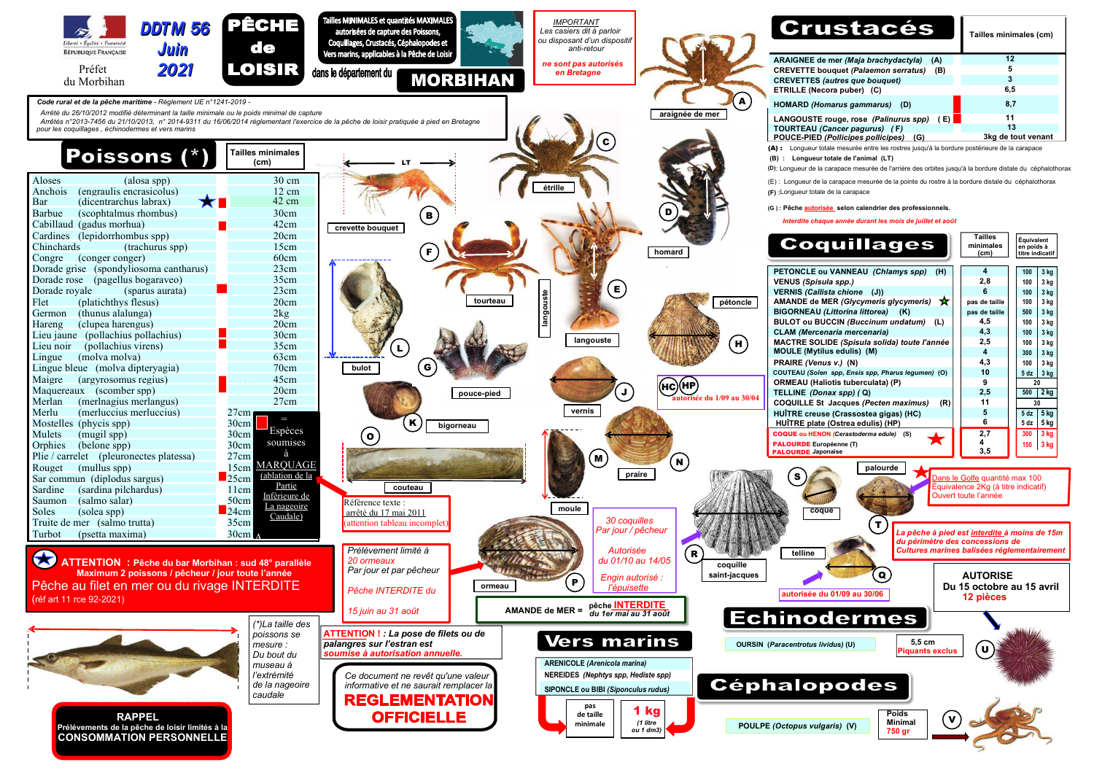